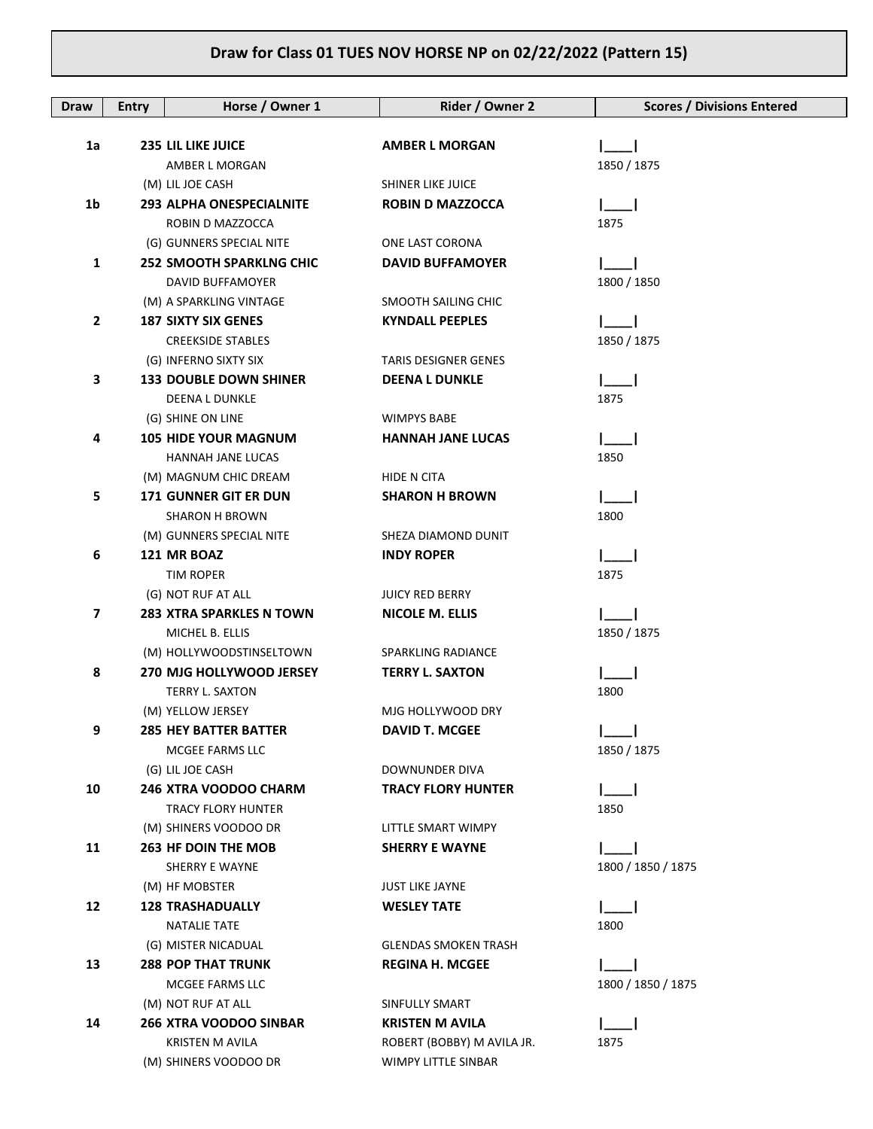| Draw         | <b>Entry</b> | Horse / Owner 1                           | Rider / Owner 2                             | <b>Scores / Divisions Entered</b> |
|--------------|--------------|-------------------------------------------|---------------------------------------------|-----------------------------------|
| 1a           |              | <b>235 LIL LIKE JUICE</b>                 | <b>AMBER L MORGAN</b>                       |                                   |
|              |              | AMBER L MORGAN                            |                                             | 1850 / 1875                       |
|              |              | (M) LIL JOE CASH                          | SHINER LIKE JUICE                           |                                   |
| 1b           |              | <b>293 ALPHA ONESPECIALNITE</b>           | <b>ROBIN D MAZZOCCA</b>                     |                                   |
|              |              | ROBIN D MAZZOCCA                          |                                             | 1875                              |
|              |              | (G) GUNNERS SPECIAL NITE                  | ONE LAST CORONA                             |                                   |
| 1            |              | <b>252 SMOOTH SPARKLNG CHIC</b>           | <b>DAVID BUFFAMOYER</b>                     |                                   |
|              |              | DAVID BUFFAMOYER                          |                                             | 1800 / 1850                       |
|              |              | (M) A SPARKLING VINTAGE                   | SMOOTH SAILING CHIC                         |                                   |
| $\mathbf{2}$ |              | <b>187 SIXTY SIX GENES</b>                | <b>KYNDALL PEEPLES</b>                      |                                   |
|              |              | <b>CREEKSIDE STABLES</b>                  |                                             | 1850 / 1875                       |
|              |              | (G) INFERNO SIXTY SIX                     | <b>TARIS DESIGNER GENES</b>                 |                                   |
| 3            |              | <b>133 DOUBLE DOWN SHINER</b>             | <b>DEENA L DUNKLE</b>                       |                                   |
|              |              | <b>DEENA L DUNKLE</b>                     |                                             | 1875                              |
|              |              | (G) SHINE ON LINE                         | <b>WIMPYS BABE</b>                          |                                   |
| 4            |              | <b>105 HIDE YOUR MAGNUM</b>               | <b>HANNAH JANE LUCAS</b>                    |                                   |
|              |              | <b>HANNAH JANE LUCAS</b>                  |                                             | 1850                              |
|              |              | (M) MAGNUM CHIC DREAM                     | HIDE N CITA                                 |                                   |
| 5            |              | <b>171 GUNNER GIT ER DUN</b>              | <b>SHARON H BROWN</b>                       |                                   |
|              |              | <b>SHARON H BROWN</b>                     |                                             | 1800                              |
|              |              | (M) GUNNERS SPECIAL NITE                  | SHEZA DIAMOND DUNIT                         |                                   |
| 6            |              | 121 MR BOAZ                               | <b>INDY ROPER</b>                           |                                   |
|              |              | TIM ROPER                                 |                                             | 1875                              |
|              |              | (G) NOT RUF AT ALL                        | <b>JUICY RED BERRY</b>                      |                                   |
| 7            |              | <b>283 XTRA SPARKLES N TOWN</b>           | <b>NICOLE M. ELLIS</b>                      |                                   |
|              |              | MICHEL B. ELLIS                           |                                             | 1850 / 1875                       |
|              |              | (M) HOLLYWOODSTINSELTOWN                  | SPARKLING RADIANCE                          |                                   |
| 8            |              | 270 MJG HOLLYWOOD JERSEY                  | <b>TERRY L. SAXTON</b>                      |                                   |
|              |              | TERRY L. SAXTON                           |                                             | 1800                              |
|              |              | (M) YELLOW JERSEY                         | MJG HOLLYWOOD DRY                           |                                   |
| 9            |              | <b>285 HEY BATTER BATTER</b>              | <b>DAVID T. MCGEE</b>                       |                                   |
|              |              | MCGEE FARMS LLC                           |                                             | 1850 / 1875                       |
| 10           |              | (G) LIL JOE CASH<br>246 XTRA VOODOO CHARM | DOWNUNDER DIVA<br><b>TRACY FLORY HUNTER</b> |                                   |
|              |              | <b>TRACY FLORY HUNTER</b>                 |                                             | 1850                              |
|              |              | (M) SHINERS VOODOO DR                     | LITTLE SMART WIMPY                          |                                   |
| 11           |              | <b>263 HF DOIN THE MOB</b>                | <b>SHERRY E WAYNE</b>                       |                                   |
|              |              | SHERRY E WAYNE                            |                                             | 1800 / 1850 / 1875                |
|              |              | (M) HF MOBSTER                            | <b>JUST LIKE JAYNE</b>                      |                                   |
| 12           |              | <b>128 TRASHADUALLY</b>                   | <b>WESLEY TATE</b>                          |                                   |
|              |              | <b>NATALIE TATE</b>                       |                                             | 1800                              |
|              |              | (G) MISTER NICADUAL                       | <b>GLENDAS SMOKEN TRASH</b>                 |                                   |
| 13           |              | <b>288 POP THAT TRUNK</b>                 | <b>REGINA H. MCGEE</b>                      |                                   |
|              |              | MCGEE FARMS LLC                           |                                             | 1800 / 1850 / 1875                |
|              |              | (M) NOT RUF AT ALL                        | SINFULLY SMART                              |                                   |
| 14           |              | <b>266 XTRA VOODOO SINBAR</b>             | <b>KRISTEN M AVILA</b>                      |                                   |
|              |              | <b>KRISTEN M AVILA</b>                    | ROBERT (BOBBY) M AVILA JR.                  | 1875                              |
|              |              | (M) SHINERS VOODOO DR                     | WIMPY LITTLE SINBAR                         |                                   |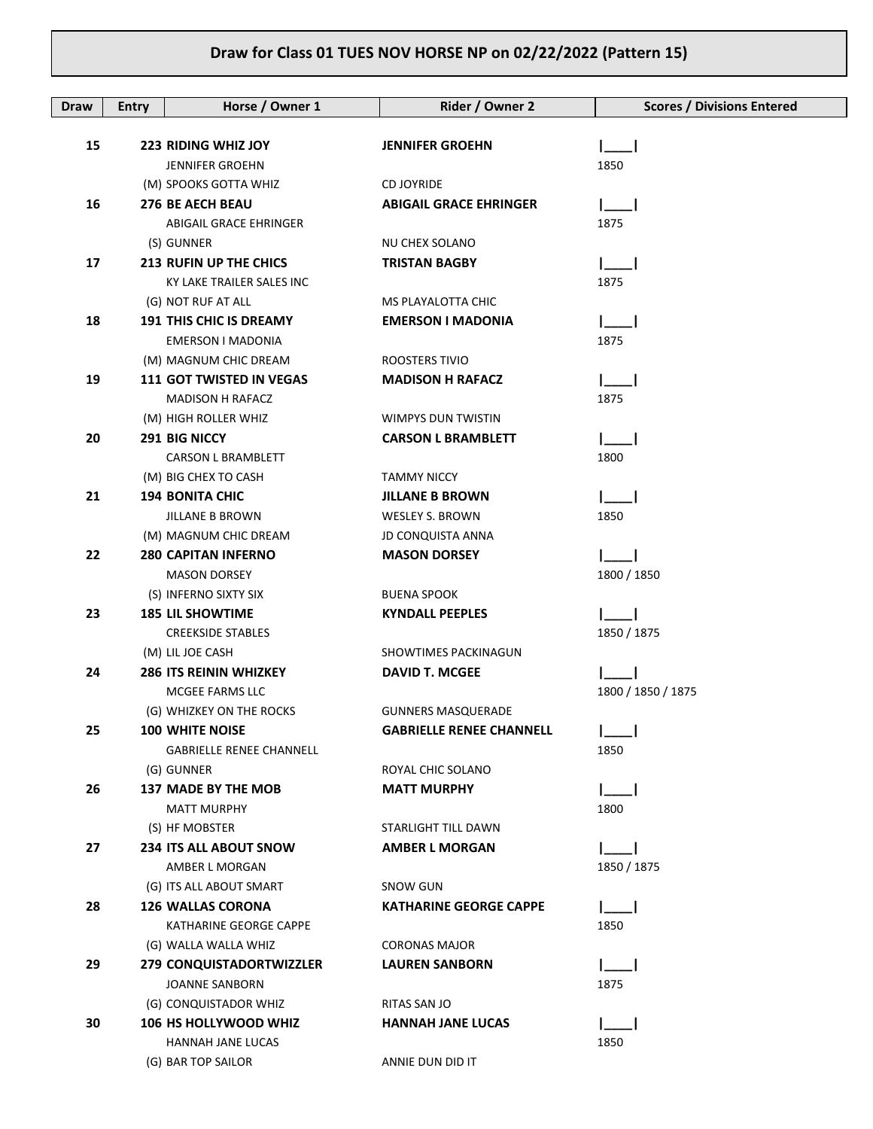| Draw | <b>Entry</b> | Horse / Owner 1                                   | Rider / Owner 2                                  | <b>Scores / Divisions Entered</b> |
|------|--------------|---------------------------------------------------|--------------------------------------------------|-----------------------------------|
|      |              |                                                   |                                                  |                                   |
| 15   |              | <b>223 RIDING WHIZ JOY</b>                        | <b>JENNIFER GROEHN</b>                           |                                   |
|      |              | <b>JENNIFER GROEHN</b>                            |                                                  | 1850                              |
|      |              | (M) SPOOKS GOTTA WHIZ                             | <b>CD JOYRIDE</b>                                |                                   |
| 16   |              | <b>276 BE AECH BEAU</b>                           | <b>ABIGAIL GRACE EHRINGER</b>                    |                                   |
|      |              | ABIGAIL GRACE EHRINGER                            |                                                  | 1875                              |
|      |              | (S) GUNNER                                        | NU CHEX SOLANO                                   |                                   |
| 17   |              | <b>213 RUFIN UP THE CHICS</b>                     | <b>TRISTAN BAGBY</b>                             |                                   |
|      |              | KY LAKE TRAILER SALES INC                         |                                                  | 1875                              |
|      |              | (G) NOT RUF AT ALL                                | MS PLAYALOTTA CHIC                               |                                   |
| 18   |              | <b>191 THIS CHIC IS DREAMY</b>                    | <b>EMERSON I MADONIA</b>                         |                                   |
|      |              | EMERSON I MADONIA                                 |                                                  | 1875                              |
|      |              | (M) MAGNUM CHIC DREAM                             | ROOSTERS TIVIO                                   |                                   |
| 19   |              | <b>111 GOT TWISTED IN VEGAS</b>                   | <b>MADISON H RAFACZ</b>                          |                                   |
|      |              | <b>MADISON H RAFACZ</b>                           |                                                  | 1875                              |
|      |              | (M) HIGH ROLLER WHIZ                              | WIMPYS DUN TWISTIN                               |                                   |
| 20   |              | <b>291 BIG NICCY</b><br><b>CARSON L BRAMBLETT</b> | <b>CARSON L BRAMBLETT</b>                        | 1800                              |
|      |              | (M) BIG CHEX TO CASH                              | <b>TAMMY NICCY</b>                               |                                   |
| 21   |              | <b>194 BONITA CHIC</b>                            | <b>JILLANE B BROWN</b>                           |                                   |
|      |              | JILLANE B BROWN                                   | WESLEY S. BROWN                                  | 1850                              |
|      |              | (M) MAGNUM CHIC DREAM                             | <b>JD CONQUISTA ANNA</b>                         |                                   |
| 22   |              | <b>280 CAPITAN INFERNO</b>                        | <b>MASON DORSEY</b>                              |                                   |
|      |              | <b>MASON DORSEY</b>                               |                                                  | 1800 / 1850                       |
|      |              | (S) INFERNO SIXTY SIX                             | <b>BUENA SPOOK</b>                               |                                   |
| 23   |              | <b>185 LIL SHOWTIME</b>                           | <b>KYNDALL PEEPLES</b>                           |                                   |
|      |              | <b>CREEKSIDE STABLES</b>                          |                                                  | 1850 / 1875                       |
|      |              | (M) LIL JOE CASH                                  | <b>SHOWTIMES PACKINAGUN</b>                      |                                   |
| 24   |              | <b>286 ITS REININ WHIZKEY</b>                     | <b>DAVID T. MCGEE</b>                            |                                   |
|      |              | MCGEE FARMS LLC                                   |                                                  | 1800 / 1850 / 1875                |
|      |              | (G) WHIZKEY ON THE ROCKS                          | <b>GUNNERS MASQUERADE</b>                        |                                   |
| 25   |              | 100 WHITE NOISE                                   | <b>GABRIELLE RENEE CHANNELL</b>                  |                                   |
|      |              | <b>GABRIELLE RENEE CHANNELL</b>                   |                                                  | 1850                              |
|      |              | (G) GUNNER                                        | ROYAL CHIC SOLANO                                |                                   |
| 26   |              | <b>137 MADE BY THE MOB</b>                        | <b>MATT MURPHY</b>                               |                                   |
|      |              | <b>MATT MURPHY</b>                                |                                                  | 1800                              |
|      |              | (S) HF MOBSTER                                    | STARLIGHT TILL DAWN                              |                                   |
| 27   |              | <b>234 ITS ALL ABOUT SNOW</b>                     | <b>AMBER L MORGAN</b>                            |                                   |
|      |              | AMBER L MORGAN                                    |                                                  | 1850 / 1875                       |
|      |              | (G) ITS ALL ABOUT SMART                           | <b>SNOW GUN</b><br><b>KATHARINE GEORGE CAPPE</b> |                                   |
| 28   |              | <b>126 WALLAS CORONA</b>                          |                                                  |                                   |
|      |              | KATHARINE GEORGE CAPPE<br>(G) WALLA WALLA WHIZ    | <b>CORONAS MAJOR</b>                             | 1850                              |
| 29   |              | 279 CONQUISTADORTWIZZLER                          | <b>LAUREN SANBORN</b>                            |                                   |
|      |              | JOANNE SANBORN                                    |                                                  | 1875                              |
|      |              | (G) CONQUISTADOR WHIZ                             | RITAS SAN JO                                     |                                   |
| 30   |              | 106 HS HOLLYWOOD WHIZ                             | <b>HANNAH JANE LUCAS</b>                         |                                   |
|      |              | HANNAH JANE LUCAS                                 |                                                  | 1850                              |
|      |              | (G) BAR TOP SAILOR                                | ANNIE DUN DID IT                                 |                                   |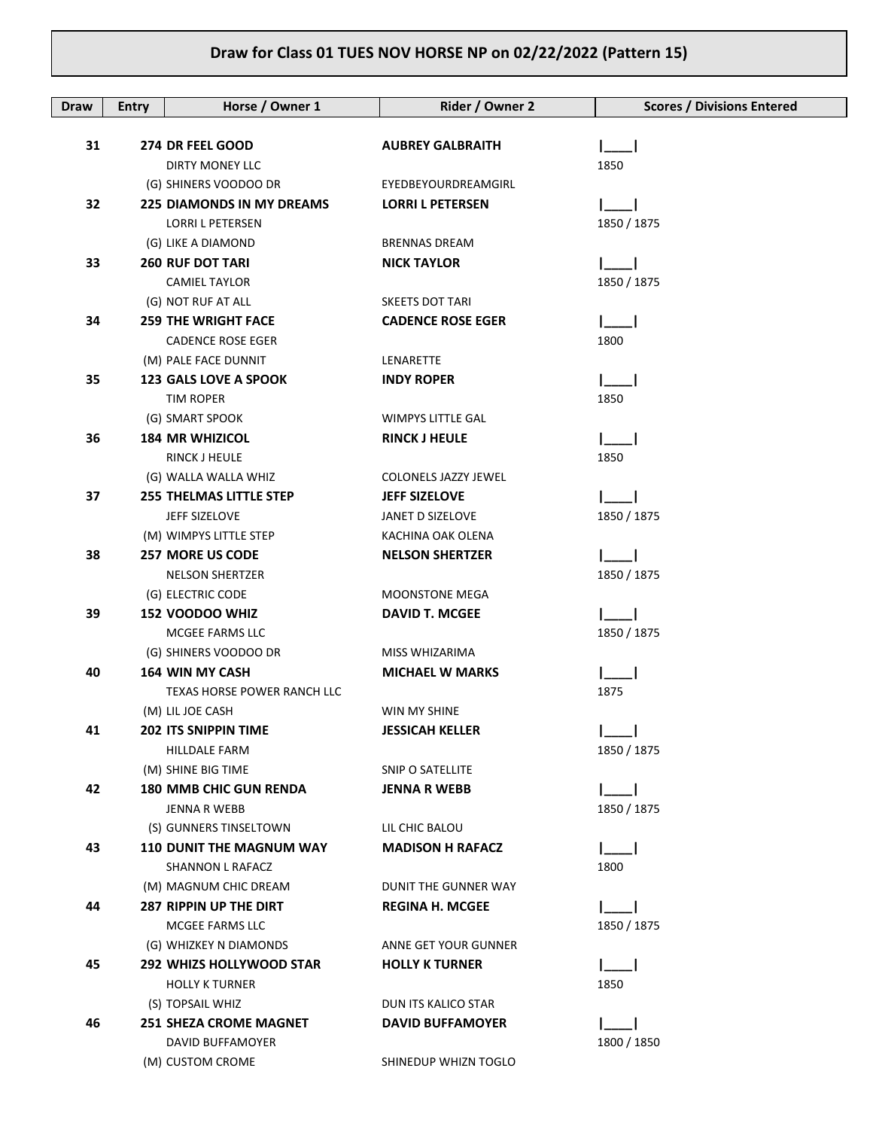| Draw | <b>Entry</b> | Horse / Owner 1                                           | Rider / Owner 2          | <b>Scores / Divisions Entered</b> |
|------|--------------|-----------------------------------------------------------|--------------------------|-----------------------------------|
|      |              |                                                           |                          |                                   |
| 31   |              | 274 DR FEEL GOOD                                          | <b>AUBREY GALBRAITH</b>  |                                   |
|      |              | DIRTY MONEY LLC                                           | EYEDBEYOURDREAMGIRL      | 1850                              |
| 32   |              | (G) SHINERS VOODOO DR<br><b>225 DIAMONDS IN MY DREAMS</b> | <b>LORRI L PETERSEN</b>  |                                   |
|      |              | <b>LORRI L PETERSEN</b>                                   |                          | 1850 / 1875                       |
|      |              | (G) LIKE A DIAMOND                                        | <b>BRENNAS DREAM</b>     |                                   |
| 33   |              | <b>260 RUF DOT TARI</b>                                   | <b>NICK TAYLOR</b>       |                                   |
|      |              | <b>CAMIEL TAYLOR</b>                                      |                          | 1850 / 1875                       |
|      |              | (G) NOT RUF AT ALL                                        | <b>SKEETS DOT TARI</b>   |                                   |
| 34   |              | <b>259 THE WRIGHT FACE</b>                                | <b>CADENCE ROSE EGER</b> |                                   |
|      |              | <b>CADENCE ROSE EGER</b>                                  |                          | 1800                              |
|      |              | (M) PALE FACE DUNNIT                                      | LENARETTE                |                                   |
| 35   |              | <b>123 GALS LOVE A SPOOK</b>                              | <b>INDY ROPER</b>        |                                   |
|      |              | <b>TIM ROPER</b>                                          |                          | 1850                              |
|      |              | (G) SMART SPOOK                                           | <b>WIMPYS LITTLE GAL</b> |                                   |
| 36   |              | <b>184 MR WHIZICOL</b>                                    | <b>RINCK J HEULE</b>     |                                   |
|      |              | <b>RINCK J HEULE</b>                                      |                          | 1850                              |
|      |              | (G) WALLA WALLA WHIZ                                      | COLONELS JAZZY JEWEL     |                                   |
| 37   |              | <b>255 THELMAS LITTLE STEP</b>                            | <b>JEFF SIZELOVE</b>     |                                   |
|      |              | JEFF SIZELOVE                                             | JANET D SIZELOVE         | 1850 / 1875                       |
|      |              | (M) WIMPYS LITTLE STEP                                    | KACHINA OAK OLENA        |                                   |
| 38   |              | <b>257 MORE US CODE</b>                                   | <b>NELSON SHERTZER</b>   |                                   |
|      |              | <b>NELSON SHERTZER</b>                                    |                          | 1850 / 1875                       |
|      |              | (G) ELECTRIC CODE                                         | <b>MOONSTONE MEGA</b>    |                                   |
| 39   |              | 152 VOODOO WHIZ                                           | <b>DAVID T. MCGEE</b>    |                                   |
|      |              | MCGEE FARMS LLC                                           |                          | 1850 / 1875                       |
|      |              | (G) SHINERS VOODOO DR                                     | MISS WHIZARIMA           |                                   |
| 40   |              | <b>164 WIN MY CASH</b>                                    | <b>MICHAEL W MARKS</b>   |                                   |
|      |              | TEXAS HORSE POWER RANCH LLC                               |                          | 1875                              |
|      |              | (M) LIL JOE CASH                                          | WIN MY SHINE             |                                   |
| 41   |              | 202 ITS SNIPPIN TIME                                      | <b>JESSICAH KELLER</b>   | $I_{\text{max}}$                  |
|      |              | HILLDALE FARM                                             | SNIP O SATELLITE         | 1850 / 1875                       |
| 42   |              | (M) SHINE BIG TIME<br><b>180 MMB CHIC GUN RENDA</b>       | <b>JENNA R WEBB</b>      |                                   |
|      |              | JENNA R WEBB                                              |                          | 1850 / 1875                       |
|      |              | (S) GUNNERS TINSELTOWN                                    | LIL CHIC BALOU           |                                   |
| 43   |              | <b>110 DUNIT THE MAGNUM WAY</b>                           | <b>MADISON H RAFACZ</b>  |                                   |
|      |              | SHANNON L RAFACZ                                          |                          | 1800                              |
|      |              | (M) MAGNUM CHIC DREAM                                     | DUNIT THE GUNNER WAY     |                                   |
| 44   |              | <b>287 RIPPIN UP THE DIRT</b>                             | <b>REGINA H. MCGEE</b>   |                                   |
|      |              | MCGEE FARMS LLC                                           |                          | 1850 / 1875                       |
|      |              | (G) WHIZKEY N DIAMONDS                                    | ANNE GET YOUR GUNNER     |                                   |
| 45   |              | <b>292 WHIZS HOLLYWOOD STAR</b>                           | <b>HOLLY K TURNER</b>    |                                   |
|      |              | <b>HOLLY K TURNER</b>                                     |                          | 1850                              |
|      |              | (S) TOPSAIL WHIZ                                          | DUN ITS KALICO STAR      |                                   |
| 46   |              | <b>251 SHEZA CROME MAGNET</b>                             | <b>DAVID BUFFAMOYER</b>  |                                   |
|      |              | DAVID BUFFAMOYER                                          |                          | 1800 / 1850                       |
|      |              | (M) CUSTOM CROME                                          | SHINEDUP WHIZN TOGLO     |                                   |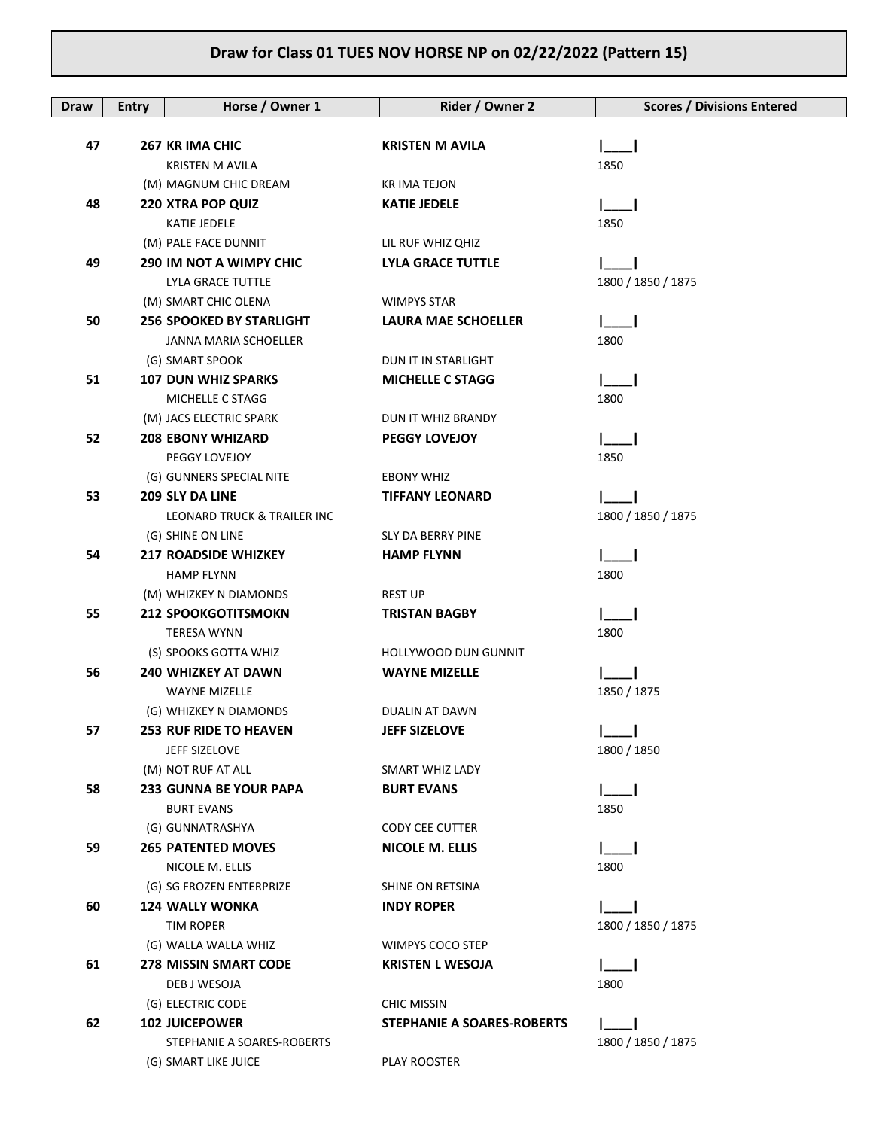| Draw | <b>Entry</b> | Horse / Owner 1                   | Rider / Owner 2                   | <b>Scores / Divisions Entered</b> |
|------|--------------|-----------------------------------|-----------------------------------|-----------------------------------|
|      |              |                                   |                                   |                                   |
| 47   |              | 267 KR IMA CHIC                   | <b>KRISTEN M AVILA</b>            |                                   |
|      |              | <b>KRISTEN M AVILA</b>            |                                   | 1850                              |
|      |              | (M) MAGNUM CHIC DREAM             | KR IMA TEJON                      |                                   |
| 48   |              | <b>220 XTRA POP QUIZ</b>          | <b>KATIE JEDELE</b>               |                                   |
|      |              | KATIE JEDELE                      |                                   | 1850                              |
|      |              | (M) PALE FACE DUNNIT              | LIL RUF WHIZ QHIZ                 |                                   |
| 49   |              | <b>290 IM NOT A WIMPY CHIC</b>    | <b>LYLA GRACE TUTTLE</b>          |                                   |
|      |              | LYLA GRACE TUTTLE                 |                                   | 1800 / 1850 / 1875                |
|      |              | (M) SMART CHIC OLENA              | <b>WIMPYS STAR</b>                |                                   |
| 50   |              | <b>256 SPOOKED BY STARLIGHT</b>   | <b>LAURA MAE SCHOELLER</b>        |                                   |
|      |              | JANNA MARIA SCHOELLER             |                                   | 1800                              |
|      |              | (G) SMART SPOOK                   | DUN IT IN STARLIGHT               |                                   |
| 51   |              | <b>107 DUN WHIZ SPARKS</b>        | <b>MICHELLE C STAGG</b>           |                                   |
|      |              | MICHELLE C STAGG                  |                                   | 1800                              |
|      |              | (M) JACS ELECTRIC SPARK           | DUN IT WHIZ BRANDY                |                                   |
| 52   |              | <b>208 EBONY WHIZARD</b>          | <b>PEGGY LOVEJOY</b>              |                                   |
|      |              | PEGGY LOVEJOY                     |                                   | 1850                              |
|      |              | (G) GUNNERS SPECIAL NITE          | <b>EBONY WHIZ</b>                 |                                   |
| 53   |              | 209 SLY DA LINE                   | <b>TIFFANY LEONARD</b>            |                                   |
|      |              | LEONARD TRUCK & TRAILER INC       |                                   | 1800 / 1850 / 1875                |
|      |              | (G) SHINE ON LINE                 | SLY DA BERRY PINE                 |                                   |
| 54   |              | <b>217 ROADSIDE WHIZKEY</b>       | <b>HAMP FLYNN</b>                 |                                   |
|      |              | <b>HAMP FLYNN</b>                 |                                   | 1800                              |
|      |              | (M) WHIZKEY N DIAMONDS            | REST UP                           |                                   |
| 55   |              | <b>212 SPOOKGOTITSMOKN</b>        | <b>TRISTAN BAGBY</b>              |                                   |
|      |              | <b>TERESA WYNN</b>                |                                   | 1800                              |
|      |              | (S) SPOOKS GOTTA WHIZ             | HOLLYWOOD DUN GUNNIT              |                                   |
| 56   |              | <b>240 WHIZKEY AT DAWN</b>        | <b>WAYNE MIZELLE</b>              |                                   |
|      |              | <b>WAYNE MIZELLE</b>              |                                   | 1850 / 1875                       |
|      |              | (G) WHIZKEY N DIAMONDS            | <b>DUALIN AT DAWN</b>             |                                   |
| 57   |              | 253 RUF RIDE TO HEAVEN            | <b>JEFF SIZELOVE</b>              | $\lfloor - \rfloor$               |
|      |              | JEFF SIZELOVE                     |                                   | 1800 / 1850                       |
|      |              | (M) NOT RUF AT ALL                | SMART WHIZ LADY                   |                                   |
| 58   |              | <b>233 GUNNA BE YOUR PAPA</b>     | <b>BURT EVANS</b>                 |                                   |
|      |              | <b>BURT EVANS</b>                 |                                   | 1850                              |
|      |              | (G) GUNNATRASHYA                  | <b>CODY CEE CUTTER</b>            |                                   |
| 59   |              | <b>265 PATENTED MOVES</b>         | <b>NICOLE M. ELLIS</b>            |                                   |
|      |              | NICOLE M. ELLIS                   |                                   | 1800                              |
|      |              | (G) SG FROZEN ENTERPRIZE          | SHINE ON RETSINA                  |                                   |
| 60   |              | <b>124 WALLY WONKA</b>            | <b>INDY ROPER</b>                 |                                   |
|      |              | TIM ROPER<br>(G) WALLA WALLA WHIZ | WIMPYS COCO STEP                  | 1800 / 1850 / 1875                |
| 61   |              | <b>278 MISSIN SMART CODE</b>      | <b>KRISTEN L WESOJA</b>           |                                   |
|      |              | DEB J WESOJA                      |                                   | 1800                              |
|      |              | (G) ELECTRIC CODE                 | <b>CHIC MISSIN</b>                |                                   |
| 62   |              | <b>102 JUICEPOWER</b>             | <b>STEPHANIE A SOARES-ROBERTS</b> |                                   |
|      |              | STEPHANIE A SOARES-ROBERTS        |                                   | 1800 / 1850 / 1875                |
|      |              | (G) SMART LIKE JUICE              | PLAY ROOSTER                      |                                   |
|      |              |                                   |                                   |                                   |